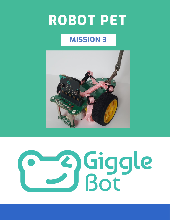# **ROBOT PET**

# **MISSION 3**



# 2) Giggle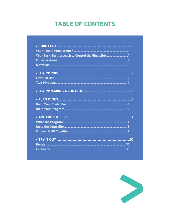# **TABLE OF CONTENTS**

| Your Task: Build a Leash to Control the GiggleBot1 |  |
|----------------------------------------------------|--|
|                                                    |  |
|                                                    |  |
|                                                    |  |
|                                                    |  |
|                                                    |  |
|                                                    |  |
|                                                    |  |
|                                                    |  |
|                                                    |  |
|                                                    |  |
|                                                    |  |
|                                                    |  |
|                                                    |  |
|                                                    |  |
|                                                    |  |
|                                                    |  |

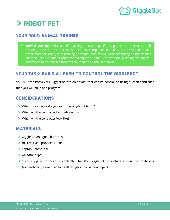# **S** GiggleBot

# <span id="page-2-0"></span>**ROBOT PET**

### <span id="page-2-1"></span>**YOUR ROLE: ANIMAL TRAINER**

 **Animal training** is the act of teaching animals specific responses to specific stimuli. Training may be for purposes such as companionship, detection, protection, and entertainment. The type of training an animal receives will vary depending on the training method used, and the purpose for training the animal. For example, a seeing eye dog will be trained to achieve a different goal than an animal in a home.

# <span id="page-2-2"></span>**YOUR TASK: BUILD A LEASH TO CONTROL THE GIGGLEBOT**

You will transform your GiggleBot into an animal that can be controlled using a leash controller that you will build and program.

### <span id="page-2-3"></span>**CONSIDERATIONS**

- What movements do you want the GiggleBot to do?
- What will the controller be made out of?
- > What will the controller look like?

### <span id="page-2-4"></span>**MATERIALS**

- GiggleBot and good batteries
- micro:bit and provided cable
- Laptop / computer
- > Alligator clips
- Craft supplies to build a controller for the GiggleBot to include conductive materials (ex.cardboard, aluminum foil, salt dough, construction paper)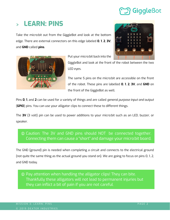# <span id="page-3-0"></span>**LEARN: PINS**

Take the micro:bit out from the GiggleBot and look at the bottom edge. There are external connectors on this edge labeled **0**, **1**, **2**, **3V**, and **GND** called **pins**.





Put your micro:bit back into the

GiggleBot and look at the front of the robot between the two LED eyes.

The same 5 pins on the micro:bit are accessible on the front of the robot. These pins are labelled **0**, **1**, **2**, **3V**, and **GND** on the front of the GiggleBot as well.

Pins **0**, **1**, and **2** can be used for a variety of things and are called *general purpose input and output* (**GPIO**) pins. You can use your alligator clips to connect these to different things.

The **3V** (3 volt) pin can be used to power additions to your micro:bit such as an LED, buzzer, or speaker.

# Caution: The 3V and GND pins should NOT be connected together. Connecting them can cause a "short" and damage your micro:bit board.

The GND (ground) pin is needed when completing a circuit and connects to the electrical ground (not quite the same thing as the actual ground you stand on). We are going to focus on pins 0, 1, 2, and GND today.

 Pay attention when handling the alligator clips! They can bite. Thankfully these alligators will not lead to permanent injuries but they can inflict a bit of pain if you are not careful.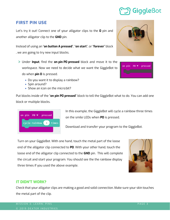### <span id="page-4-0"></span>**FIRST PIN USE**

Let's try it out! Connect one of your alligator clips to the **0** pin and another alligator clip to the **GND** pin.

Instead of using an "**on button A pressed**", "**on start**", or "**forever**" block , we are going to try new input blocks.

- Under **Input**, find the **on pin P0 pressed** block and move it to the workspace. Now we need to decide what we want the GiggleBot to do when **pin 0** is pressed.
	- Do you want it to display a rainbow?
	- Spin around?
	- Show an icon on the micro:bit?

Put blocks inside of the "**on pin P0 pressed**" block to tell the GiggleBot what to do. You can add one block or multiple blocks.

## In this example, the GiggleBot will cycle a rainbow three times on the smile LEDs when **P0** is pressed.

Download and transfer your program to the GiggleBot.

Turn on your GiggleBot. With one hand, touch the metal part of the loose end of the alligator clip connected to **P0**. With your other hand, touch the loose end of the alligator clip connected to the **GND** pin. This will complete the circuit and start your program. You should see the the rainbow display three times if you used the above example.

### **IT DIDN'T WORK?**

Check that your alligator clips are making a good and solid connection. Make sure your skin touches the metal part of the clip.





PØ

pressed

on pin

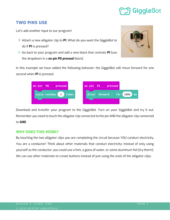# Giggleßot

### <span id="page-5-0"></span>**TWO PINS USE**

Let's add another input to our program!

- Attach a new alligator clip to **P1**. What do you want the GiggleBot to do if **P1** is pressed?
- Go back to your program and add a new block that controls **P1** (use the dropdown in a **on pin P0 pressed** block).



In this example we have added the following behavior: the GiggleBot will move forward for one second when **P1** is pressed.



| on pin | <b>P1</b>     | pressed |                |
|--------|---------------|---------|----------------|
|        | drive forward |         | for 1000<br>ms |
|        |               |         |                |

Download and transfer your program to the GiggleBot. Turn on your GiggleBot and try it out. Remember you need to touch the alligator clip connected to the pin AND the alligator clip connected to **GND**.

### **WHY DOES THIS WORK?**

By touching the two alligator clips you are completing the circuit because YOU conduct electricity. You are a conductor! Think about other materials that conduct electricity: instead of only using yourself as the conductor, you could use a fork, a glass of water, or some aluminum foil (try them!). We can use other materials to create buttons instead of just using the ends of the alligator clips.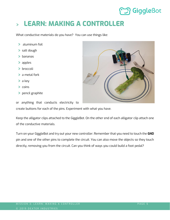# **MangleBot**

### <span id="page-6-0"></span>**LEARN: MAKING A CONTROLLER**  $\blacktriangleright$

What conductive materials do you have? You can use things like:

- > aluminum foil
- > salt dough
- > bananas
- > apples
- > broccoli
- > a metal fork
- $> a key$
- $>$  coins
- > pencil graphite

or anything that conducts electricity to

create buttons for each of the pins. Experiment with what you have.

Keep the alligator clips attached to the GiggleBot. On the other end of each alligator clip attach one of the conductive materials.

Turn on your GiggleBot and try out your new controller. Remember that you need to touch the **GND** pin and one of the other pins to complete the circuit. You can also move the objects so they touch directly, removing you from the circuit. Can you think of ways you could build a foot pedal?

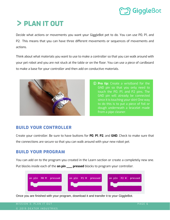# <span id="page-7-0"></span>**PLAN IT OUT**

Decide what actions or movements you want your GiggleBot pet to do. You can use P0, P1, and P2. This means that you can have three different movements or sequences of movements and actions.

Think about what materials you want to use to make a controller so that you can walk around with your pet robot and you are not stuck at the table or on the floor. You can use a piece of cardboard to make a base for your controller and then add on conductive materials.



 **Pro tip:** Create a wristband for the GND pin so that you only need to touch the P0, P1, and P2 pins. The GND pin will already be connected since it is touching your skin! One way to do this is to put a piece of foil or dough underneath a bracelet made from a pipe cleaner.

## <span id="page-7-1"></span>**BUILD YOUR CONTROLLER**

Create your controller. Be sure to have buttons for **P0**, **P1**, **P2**, and **GND**. Check to make sure that the connections are secure so that you can walk around with your new robot pet.

## <span id="page-7-2"></span>**BUILD YOUR PROGRAM**

You can add on to the program you created in the Learn section or create a completely new one. Put blocks inside each of the **on pin \_\_\_ pressed** blocks to program your controller.



Once you are finished with your program, download it and transfer it to your GiggleBot.

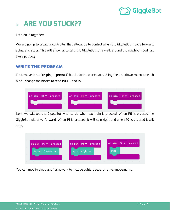# <span id="page-8-0"></span>**ARE YOU STUCK??**

Let's build together!

We are going to create a controller that allows us to control when the GiggleBot moves forward, spins, and stops. This will allow us to take the GiggleBot for a walk around the neighborhood just like a pet dog.

### <span id="page-8-1"></span>**WRITE THE PROGRAM**

First, move three "**on pin \_\_ pressed**" blocks to the workspace. Using the dropdown menu on each block, change the blocks to read **P0**, **P1**, and **P2**.



Next, we will tell the GiggleBot what to do when each pin is pressed. When **P0** is pressed the GiggleBot will drive forward. When **P1** is pressed, it will spin right and when **P2** is pressed it will stop.



You can modify this basic framework to include lights, speed, or other movements.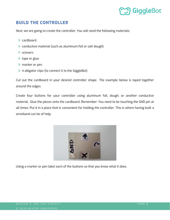### <span id="page-9-0"></span>**BUILD THE CONTROLLER**

Next, we are going to create the controller. You will need the following materials:

- > cardboard
- conductive material (such as aluminum foil or salt dough)
- > scissors
- > tape or glue
- marker or pen
- 4 alligator clips (to connect it to the GiggleBot)

Cut out the cardboard in your desired controller shape. The example below is taped together around the edges.

Create four buttons for your controller using aluminum foil, dough, or another conductive material. Glue the pieces onto the cardboard. Remember: You need to be touching the GND pin at all times. Put it in a place that is convenient for holding the controller. This is where having built a wristband can be of help.



Using a marker or pen label each of the buttons so that you know what it does.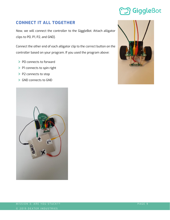# <span id="page-10-0"></span>**CONNECT IT ALL TOGETHER**

Now, we will connect the controller to the GiggleBot. Attach alligator clips to P0, P1, P2, and GND).

Connect the other end of each alligator clip to the correct button on the controller based on your program. If you used the program above:

- > PO connects to forward
- > P1 connects to spin right
- > P2 connects to stop
- GND connects to GND



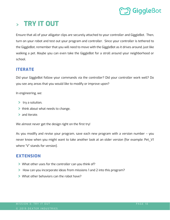

# <span id="page-11-0"></span>**TRY IT OUT**

Ensure that all of your alligator clips are securely attached to your controller and GiggleBot. Then, turn on your robot and test out your program and controller. Since your controller is tethered to the GiggleBot, remember that you will need to move with the GiggleBot as it drives around, just like walking a pet. Maybe you can even take the GiggleBot for a stroll around your neighborhood or school.

## <span id="page-11-1"></span>**ITERATE**

Did your GiggleBot follow your commands via the controller? Did your controller work well? Do you see any areas that you would like to modify or improve upon?

In engineering, we:

- $\triangleright$  try a solution,
- > think about what needs to change,
- > and iterate.

We almost never get the design right on the first try!

As you modify and revise your program, save each new program with a version number – you never know when you might want to take another look at an older version (for example: Pet\_V1 where "V" stands for version).

### <span id="page-11-2"></span>**EXTENSION**

- What other uses for the controller can you think of?
- How can you incorporate ideas from missions 1 and 2 into this program?
- What other behaviors can the robot have?